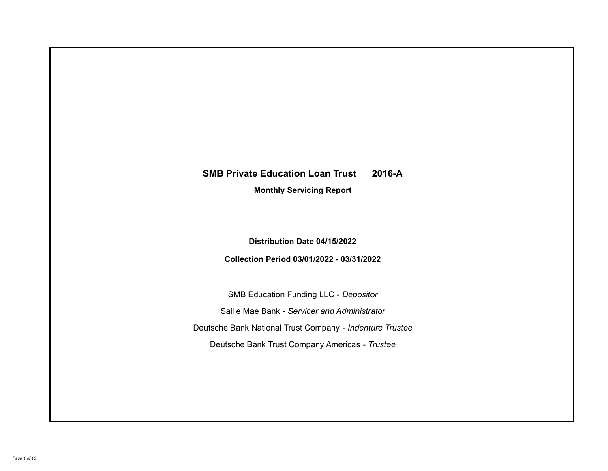# **SMB Private Education Loan Trust 2016-A**

**Monthly Servicing Report**

**Distribution Date 04/15/2022**

**Collection Period 03/01/2022 - 03/31/2022**

SMB Education Funding LLC - *Depositor* Sallie Mae Bank - *Servicer and Administrator* Deutsche Bank National Trust Company - *Indenture Trustee* Deutsche Bank Trust Company Americas - *Trustee*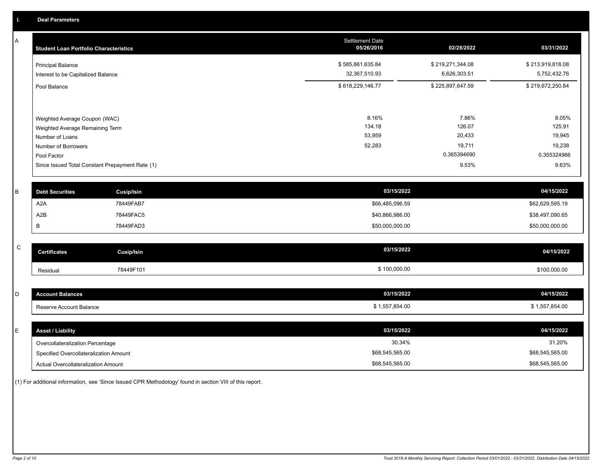A

 $\,$  C  $\,$ 

| A | <b>Student Loan Portfolio Characteristics</b> |                                                 | <b>Settlement Date</b><br>05/26/2016 | 02/28/2022       | 03/31/2022       |
|---|-----------------------------------------------|-------------------------------------------------|--------------------------------------|------------------|------------------|
|   | <b>Principal Balance</b>                      |                                                 | \$585,861,635.84                     | \$219,271,344.08 | \$213,919,818.08 |
|   | Interest to be Capitalized Balance            |                                                 | 32,367,510.93                        | 6,626,303.51     | 5,752,432.76     |
|   | Pool Balance                                  |                                                 | \$618,229,146.77                     | \$225,897,647.59 | \$219,672,250.84 |
|   |                                               |                                                 |                                      |                  |                  |
|   | Weighted Average Coupon (WAC)                 |                                                 | 8.16%                                | 7.86%            | 8.05%            |
|   | Weighted Average Remaining Term               |                                                 | 134.18                               | 126.07           | 125.91           |
|   | Number of Loans                               |                                                 | 53,959                               | 20,433           | 19,945           |
|   | Number of Borrowers                           |                                                 | 52,283                               | 19,711           | 19,238           |
|   | Pool Factor                                   |                                                 |                                      | 0.365394690      | 0.355324966      |
|   |                                               | Since Issued Total Constant Prepayment Rate (1) |                                      | 9.53%            | 9.63%            |
| B | <b>Debt Securities</b>                        | <b>Cusip/Isin</b>                               | 03/15/2022                           |                  | 04/15/2022       |
|   | A <sub>2</sub> A                              | 78449FAB7                                       | \$66,485,096.59                      |                  | \$62,629,595.19  |
|   | A2B                                           | 78449FAC5                                       | \$40,866,986.00                      |                  | \$38,497,090.65  |
|   | B                                             | 78449FAD3                                       | \$50,000,000.00                      |                  | \$50,000,000.00  |
| C |                                               |                                                 |                                      |                  |                  |
|   | <b>Certificates</b>                           | <b>Cusip/Isin</b>                               | 03/15/2022                           |                  | 04/15/2022       |
|   | Residual                                      | 78449F101                                       | \$100,000.00                         |                  | \$100,000.00     |
|   |                                               |                                                 |                                      |                  |                  |
| D | <b>Account Balances</b>                       |                                                 | 03/15/2022                           |                  | 04/15/2022       |
|   | Reserve Account Balance                       |                                                 | \$1,557,854.00                       |                  | \$1,557,854.00   |

| F. | <b>Asset / Liability</b>               | 03/15/2022      | 04/15/2022      |
|----|----------------------------------------|-----------------|-----------------|
|    | Overcollateralization Percentage       | 30.34%          | 31.20%          |
|    | Specified Overcollateralization Amount | \$68,545,565.00 | \$68,545,565.00 |
|    | Actual Overcollateralization Amount    | \$68,545,565.00 | \$68,545,565.00 |

(1) For additional information, see 'Since Issued CPR Methodology' found in section VIII of this report .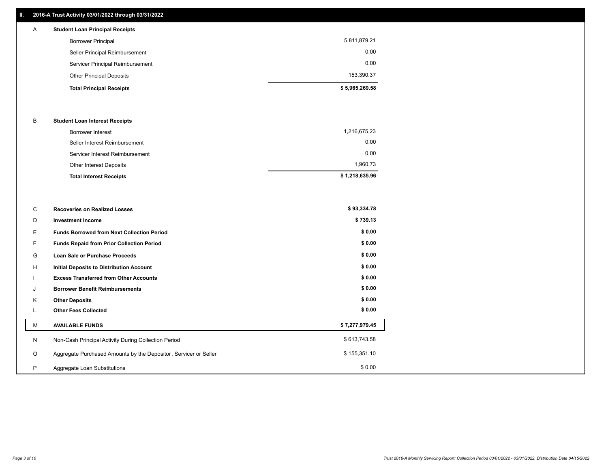### **II. 2016-A Trust Activity 03/01/2022 through 03/31/2022**

# **Total Principal Receipts \$ 5,965,269.58**  Other Principal Deposits 153,390.37 Servicer Principal Reimbursement 0.00 Seller Principal Reimbursement 0.00 Borrower Principal 5,811,879.21 A **Student Loan Principal Receipts**

#### B **Student Loan Interest Receipts**

| <b>Total Interest Receipts</b>  | \$1,218,635.96 |
|---------------------------------|----------------|
| Other Interest Deposits         | 1.960.73       |
| Servicer Interest Reimbursement | 0.00           |
| Seller Interest Reimbursement   | 0.00           |
| Borrower Interest               | 1,216,675.23   |

| C       | <b>Recoveries on Realized Losses</b>                             | \$93,334.78    |
|---------|------------------------------------------------------------------|----------------|
| D       | <b>Investment Income</b>                                         | \$739.13       |
| Е       | <b>Funds Borrowed from Next Collection Period</b>                | \$0.00         |
| F.      | <b>Funds Repaid from Prior Collection Period</b>                 | \$0.00         |
| G       | Loan Sale or Purchase Proceeds                                   | \$0.00         |
| H       | <b>Initial Deposits to Distribution Account</b>                  | \$0.00         |
|         | <b>Excess Transferred from Other Accounts</b>                    | \$0.00         |
| J       | <b>Borrower Benefit Reimbursements</b>                           | \$0.00         |
| K       | <b>Other Deposits</b>                                            | \$0.00         |
| L       | <b>Other Fees Collected</b>                                      | \$0.00         |
| М       | <b>AVAILABLE FUNDS</b>                                           | \$7,277,979.45 |
| N       | Non-Cash Principal Activity During Collection Period             | \$613,743.58   |
| $\circ$ | Aggregate Purchased Amounts by the Depositor, Servicer or Seller | \$155,351.10   |
| P       | Aggregate Loan Substitutions                                     | \$0.00         |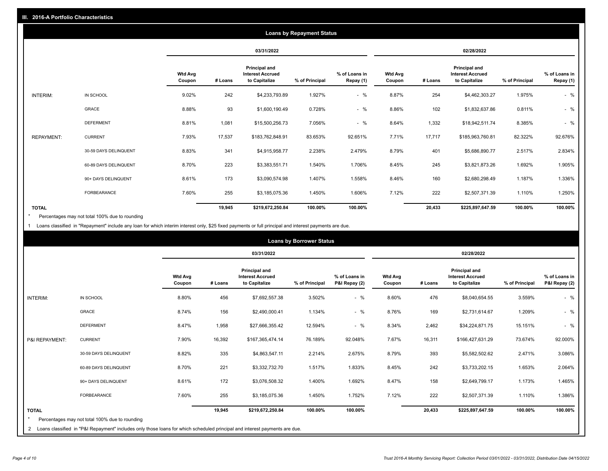|                   | <b>Loans by Repayment Status</b> |                          |            |                                                                  |                |                            |                          |         |                                                           |                |                            |
|-------------------|----------------------------------|--------------------------|------------|------------------------------------------------------------------|----------------|----------------------------|--------------------------|---------|-----------------------------------------------------------|----------------|----------------------------|
|                   |                                  |                          | 03/31/2022 |                                                                  |                | 02/28/2022                 |                          |         |                                                           |                |                            |
|                   |                                  | <b>Wtd Avg</b><br>Coupon | # Loans    | <b>Principal and</b><br><b>Interest Accrued</b><br>to Capitalize | % of Principal | % of Loans in<br>Repay (1) | <b>Wtd Avg</b><br>Coupon | # Loans | Principal and<br><b>Interest Accrued</b><br>to Capitalize | % of Principal | % of Loans in<br>Repay (1) |
| INTERIM:          | IN SCHOOL                        | 9.02%                    | 242        | \$4,233,793.89                                                   | 1.927%         | $-$ %                      | 8.87%                    | 254     | \$4,462,303.27                                            | 1.975%         | $-$ %                      |
|                   | GRACE                            | 8.88%                    | 93         | \$1,600,190.49                                                   | 0.728%         | $-$ %                      | 8.86%                    | 102     | \$1,832,637.86                                            | 0.811%         | $-$ %                      |
|                   | <b>DEFERMENT</b>                 | 8.81%                    | 1,081      | \$15,500,256.73                                                  | 7.056%         | $-$ %                      | 8.64%                    | 1,332   | \$18,942,511.74                                           | 8.385%         | $-$ %                      |
| <b>REPAYMENT:</b> | <b>CURRENT</b>                   | 7.93%                    | 17,537     | \$183,762,848.91                                                 | 83.653%        | 92.651%                    | 7.71%                    | 17,717  | \$185,963,760.81                                          | 82.322%        | 92.676%                    |
|                   | 30-59 DAYS DELINQUENT            | 8.83%                    | 341        | \$4,915,958.77                                                   | 2.238%         | 2.479%                     | 8.79%                    | 401     | \$5,686,890.77                                            | 2.517%         | 2.834%                     |
|                   | 60-89 DAYS DELINQUENT            | 8.70%                    | 223        | \$3,383,551.71                                                   | 1.540%         | 1.706%                     | 8.45%                    | 245     | \$3,821,873.26                                            | 1.692%         | 1.905%                     |
|                   | 90+ DAYS DELINQUENT              | 8.61%                    | 173        | \$3,090,574.98                                                   | 1.407%         | 1.558%                     | 8.46%                    | 160     | \$2,680,298.49                                            | 1.187%         | 1.336%                     |
|                   | <b>FORBEARANCE</b>               | 7.60%                    | 255        | \$3,185,075.36                                                   | 1.450%         | 1.606%                     | 7.12%                    | 222     | \$2,507,371.39                                            | 1.110%         | 1.250%                     |
| <b>TOTAL</b>      |                                  |                          | 19,945     | \$219,672,250.84                                                 | 100.00%        | 100.00%                    |                          | 20,433  | \$225,897,647.59                                          | 100.00%        | 100.00%                    |

Percentages may not total 100% due to rounding \*

1 Loans classified in "Repayment" include any loan for which interim interest only, \$25 fixed payments or full principal and interest payments are due.

|                         | <b>Loans by Borrower Status</b>                                                                                              |                          |         |                                                           |                |                                |                          |            |                                                                  |                |                                |
|-------------------------|------------------------------------------------------------------------------------------------------------------------------|--------------------------|---------|-----------------------------------------------------------|----------------|--------------------------------|--------------------------|------------|------------------------------------------------------------------|----------------|--------------------------------|
|                         |                                                                                                                              |                          |         | 03/31/2022                                                |                |                                |                          | 02/28/2022 |                                                                  |                |                                |
|                         |                                                                                                                              | <b>Wtd Avg</b><br>Coupon | # Loans | Principal and<br><b>Interest Accrued</b><br>to Capitalize | % of Principal | % of Loans in<br>P&I Repay (2) | <b>Wtd Avg</b><br>Coupon | # Loans    | <b>Principal and</b><br><b>Interest Accrued</b><br>to Capitalize | % of Principal | % of Loans in<br>P&I Repay (2) |
| <b>INTERIM:</b>         | IN SCHOOL                                                                                                                    | 8.80%                    | 456     | \$7,692,557.38                                            | 3.502%         | $-$ %                          | 8.60%                    | 476        | \$8,040,654.55                                                   | 3.559%         | $-$ %                          |
|                         | <b>GRACE</b>                                                                                                                 | 8.74%                    | 156     | \$2,490,000.41                                            | 1.134%         | $-$ %                          | 8.76%                    | 169        | \$2,731,614.67                                                   | 1.209%         | $-$ %                          |
|                         | <b>DEFERMENT</b>                                                                                                             | 8.47%                    | 1,958   | \$27,666,355.42                                           | 12.594%        | $-$ %                          | 8.34%                    | 2,462      | \$34,224,871.75                                                  | 15.151%        | $-$ %                          |
| P&I REPAYMENT:          | <b>CURRENT</b>                                                                                                               | 7.90%                    | 16,392  | \$167,365,474.14                                          | 76.189%        | 92.048%                        | 7.67%                    | 16,311     | \$166,427,631.29                                                 | 73.674%        | 92.000%                        |
|                         | 30-59 DAYS DELINQUENT                                                                                                        | 8.82%                    | 335     | \$4,863,547.11                                            | 2.214%         | 2.675%                         | 8.79%                    | 393        | \$5,582,502.62                                                   | 2.471%         | 3.086%                         |
|                         | 60-89 DAYS DELINQUENT                                                                                                        | 8.70%                    | 221     | \$3,332,732.70                                            | 1.517%         | 1.833%                         | 8.45%                    | 242        | \$3,733,202.15                                                   | 1.653%         | 2.064%                         |
|                         | 90+ DAYS DELINQUENT                                                                                                          | 8.61%                    | 172     | \$3,076,508.32                                            | 1.400%         | 1.692%                         | 8.47%                    | 158        | \$2,649,799.17                                                   | 1.173%         | 1.465%                         |
|                         | <b>FORBEARANCE</b>                                                                                                           | 7.60%                    | 255     | \$3,185,075.36                                            | 1.450%         | 1.752%                         | 7.12%                    | 222        | \$2,507,371.39                                                   | 1.110%         | 1.386%                         |
| <b>TOTAL</b><br>$\star$ | Percentages may not total 100% due to rounding                                                                               |                          | 19,945  | \$219,672,250.84                                          | 100.00%        | 100.00%                        |                          | 20,433     | \$225,897,647.59                                                 | 100.00%        | 100.00%                        |
|                         | 2 Loans classified in "P&I Repayment" includes only those loans for which scheduled principal and interest payments are due. |                          |         |                                                           |                |                                |                          |            |                                                                  |                |                                |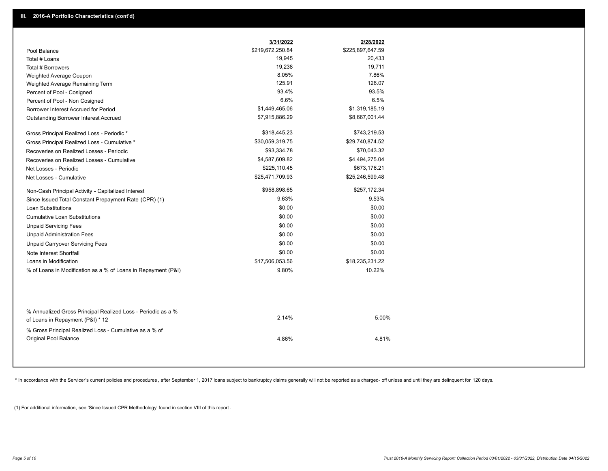|                                                                                                  | 3/31/2022        | 2/28/2022        |  |
|--------------------------------------------------------------------------------------------------|------------------|------------------|--|
| Pool Balance                                                                                     | \$219,672,250.84 | \$225,897,647.59 |  |
| Total # Loans                                                                                    | 19,945           | 20,433           |  |
| Total # Borrowers                                                                                | 19,238           | 19,711           |  |
| Weighted Average Coupon                                                                          | 8.05%            | 7.86%            |  |
| Weighted Average Remaining Term                                                                  | 125.91           | 126.07           |  |
| Percent of Pool - Cosigned                                                                       | 93.4%            | 93.5%            |  |
| Percent of Pool - Non Cosigned                                                                   | 6.6%             | 6.5%             |  |
| Borrower Interest Accrued for Period                                                             | \$1,449,465.06   | \$1,319,185.19   |  |
| Outstanding Borrower Interest Accrued                                                            | \$7,915,886.29   | \$8,667,001.44   |  |
| Gross Principal Realized Loss - Periodic *                                                       | \$318,445.23     | \$743,219.53     |  |
| Gross Principal Realized Loss - Cumulative *                                                     | \$30,059,319.75  | \$29,740,874.52  |  |
| Recoveries on Realized Losses - Periodic                                                         | \$93,334.78      | \$70,043.32      |  |
| Recoveries on Realized Losses - Cumulative                                                       | \$4,587,609.82   | \$4,494,275.04   |  |
| Net Losses - Periodic                                                                            | \$225,110.45     | \$673,176.21     |  |
| Net Losses - Cumulative                                                                          | \$25,471,709.93  | \$25,246,599.48  |  |
| Non-Cash Principal Activity - Capitalized Interest                                               | \$958,898.65     | \$257,172.34     |  |
| Since Issued Total Constant Prepayment Rate (CPR) (1)                                            | 9.63%            | 9.53%            |  |
| <b>Loan Substitutions</b>                                                                        | \$0.00           | \$0.00           |  |
| <b>Cumulative Loan Substitutions</b>                                                             | \$0.00           | \$0.00           |  |
| <b>Unpaid Servicing Fees</b>                                                                     | \$0.00           | \$0.00           |  |
| <b>Unpaid Administration Fees</b>                                                                | \$0.00           | \$0.00           |  |
| <b>Unpaid Carryover Servicing Fees</b>                                                           | \$0.00           | \$0.00           |  |
| Note Interest Shortfall                                                                          | \$0.00           | \$0.00           |  |
| Loans in Modification                                                                            | \$17,506,053.56  | \$18,235,231.22  |  |
| % of Loans in Modification as a % of Loans in Repayment (P&I)                                    | 9.80%            | 10.22%           |  |
|                                                                                                  |                  |                  |  |
| % Annualized Gross Principal Realized Loss - Periodic as a %<br>of Loans in Repayment (P&I) * 12 | 2.14%            | 5.00%            |  |
| % Gross Principal Realized Loss - Cumulative as a % of<br>Original Pool Balance                  | 4.86%            | 4.81%            |  |
|                                                                                                  |                  |                  |  |

\* In accordance with the Servicer's current policies and procedures, after September 1, 2017 loans subject to bankruptcy claims generally will not be reported as a charged- off unless and until they are delinquent for 120

(1) For additional information, see 'Since Issued CPR Methodology' found in section VIII of this report .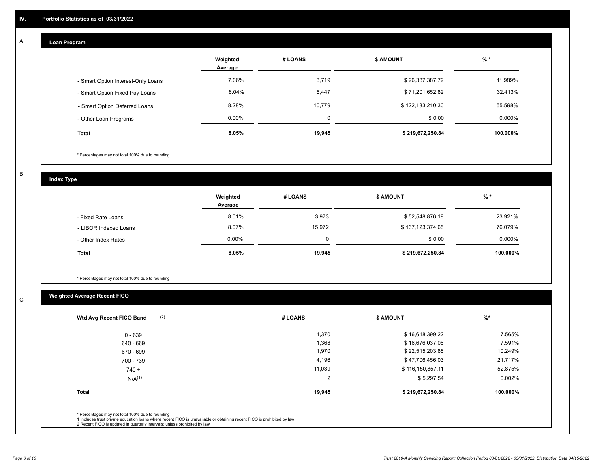## **Loan Program**

A

|                                    | Weighted<br>Average | # LOANS | <b>\$ AMOUNT</b> | $%$ *    |
|------------------------------------|---------------------|---------|------------------|----------|
| - Smart Option Interest-Only Loans | 7.06%               | 3,719   | \$26,337,387.72  | 11.989%  |
| - Smart Option Fixed Pay Loans     | 8.04%               | 5,447   | \$71,201,652.82  | 32.413%  |
| - Smart Option Deferred Loans      | 8.28%               | 10.779  | \$122,133,210.30 | 55.598%  |
| - Other Loan Programs              | $0.00\%$            | 0       | \$0.00           | 0.000%   |
| <b>Total</b>                       | 8.05%               | 19,945  | \$219,672,250.84 | 100.000% |

\* Percentages may not total 100% due to rounding

B

C

**Index Type**

|                       | Weighted<br>Average | # LOANS     | <b>\$ AMOUNT</b> | % *      |
|-----------------------|---------------------|-------------|------------------|----------|
| - Fixed Rate Loans    | 8.01%               | 3,973       | \$52,548,876.19  | 23.921%  |
| - LIBOR Indexed Loans | 8.07%               | 15.972      | \$167,123,374.65 | 76.079%  |
| - Other Index Rates   | $0.00\%$            | $\mathbf 0$ | \$0.00           | 0.000%   |
| Total                 | 8.05%               | 19,945      | \$219,672,250.84 | 100.000% |

\* Percentages may not total 100% due to rounding

# **Weighted Average Recent FICO**

| \$16,618,399.22<br>\$16,676,037.06 | 7.565%<br>7.591% |
|------------------------------------|------------------|
|                                    |                  |
|                                    |                  |
| \$22,515,203.88                    | 10.249%          |
| \$47,706,456.03                    | 21.717%          |
| \$116,150,857.11                   | 52.875%          |
| \$5,297.54                         | 0.002%           |
| \$219,672,250.84                   | 100.000%         |
|                                    |                  |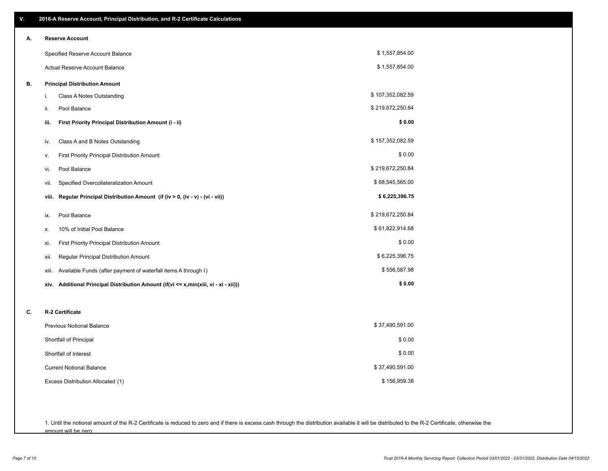| V. | 2016-A Reserve Account, Principal Distribution, and R-2 Certificate Calculations        |                  |
|----|-----------------------------------------------------------------------------------------|------------------|
| А. | <b>Reserve Account</b>                                                                  |                  |
|    | Specified Reserve Account Balance                                                       | \$1,557,854.00   |
|    | Actual Reserve Account Balance                                                          | \$1,557,854.00   |
| В. | <b>Principal Distribution Amount</b>                                                    |                  |
|    | Class A Notes Outstanding<br>i.                                                         | \$107,352,082.59 |
|    | Pool Balance<br>ii.                                                                     | \$219,672,250.84 |
|    | First Priority Principal Distribution Amount (i - ii)<br>iii.                           | \$0.00           |
|    | Class A and B Notes Outstanding<br>iv.                                                  | \$157,352,082.59 |
|    | First Priority Principal Distribution Amount<br>ν.                                      | \$0.00           |
|    | Pool Balance<br>vi.                                                                     | \$219,672,250.84 |
|    | Specified Overcollateralization Amount<br>vii.                                          | \$68,545,565.00  |
|    | Regular Principal Distribution Amount (if (iv > 0, (iv - v) - (vi - vii))<br>viii.      | \$6,225,396.75   |
|    | Pool Balance<br>ix.                                                                     | \$219,672,250.84 |
|    | 10% of Initial Pool Balance<br>х.                                                       | \$61,822,914.68  |
|    | First Priority Principal Distribution Amount<br>xi.                                     | \$0.00           |
|    | Regular Principal Distribution Amount<br>xii.                                           | \$6,225,396.75   |
|    | Available Funds (after payment of waterfall items A through I)<br>xiii.                 | \$556,587.98     |
|    | Additional Principal Distribution Amount (if(vi <= x,min(xiii, vi - xi - xii)))<br>xiv. | \$0.00           |
| C. | R-2 Certificate                                                                         |                  |
|    | Previous Notional Balance                                                               | \$37,490,591.00  |
|    | Shortfall of Principal                                                                  | \$0.00           |
|    | Shortfall of Interest                                                                   | \$0.00           |
|    | <b>Current Notional Balance</b>                                                         | \$37,490,591.00  |
|    | Excess Distribution Allocated (1)                                                       | \$156,959.38     |
|    |                                                                                         |                  |
|    |                                                                                         |                  |

1. Until the notional amount of the R-2 Certificate is reduced to zero and if there is excess cash through the distribution available it will be distributed to the R-2 Certificate, otherwise the amount will be zero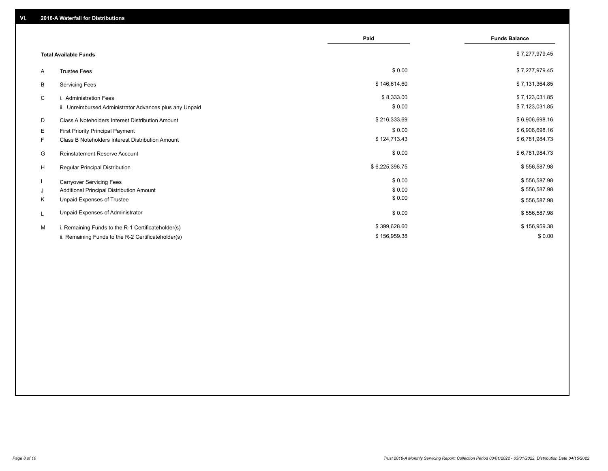|    |                                                         | Paid           | <b>Funds Balance</b> |
|----|---------------------------------------------------------|----------------|----------------------|
|    |                                                         |                |                      |
|    | <b>Total Available Funds</b>                            |                | \$7,277,979.45       |
| A  | <b>Trustee Fees</b>                                     | \$0.00         | \$7,277,979.45       |
| B  | <b>Servicing Fees</b>                                   | \$146,614.60   | \$7,131,364.85       |
| C  | i. Administration Fees                                  | \$8,333.00     | \$7,123,031.85       |
|    | ii. Unreimbursed Administrator Advances plus any Unpaid | \$0.00         | \$7,123,031.85       |
| D  | Class A Noteholders Interest Distribution Amount        | \$216,333.69   | \$6,906,698.16       |
| E. | First Priority Principal Payment                        | \$0.00         | \$6,906,698.16       |
| F. | Class B Noteholders Interest Distribution Amount        | \$124,713.43   | \$6,781,984.73       |
| G  | <b>Reinstatement Reserve Account</b>                    | \$0.00         | \$6,781,984.73       |
| H  | Regular Principal Distribution                          | \$6,225,396.75 | \$556,587.98         |
|    | <b>Carryover Servicing Fees</b>                         | \$0.00         | \$556,587.98         |
| J  | Additional Principal Distribution Amount                | \$0.00         | \$556,587.98         |
| Κ  | Unpaid Expenses of Trustee                              | \$0.00         | \$556,587.98         |
| L  | Unpaid Expenses of Administrator                        | \$0.00         | \$556,587.98         |
| M  | i. Remaining Funds to the R-1 Certificateholder(s)      | \$399,628.60   | \$156,959.38         |
|    | ii. Remaining Funds to the R-2 Certificateholder(s)     | \$156,959.38   | \$0.00               |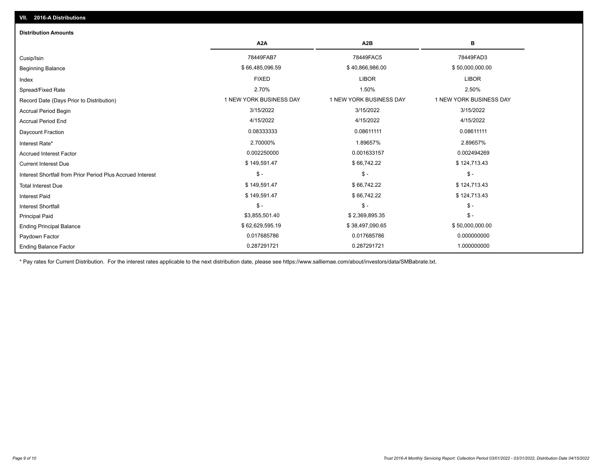| <b>Distribution Amounts</b>                                |                         |                         |                         |
|------------------------------------------------------------|-------------------------|-------------------------|-------------------------|
|                                                            | A <sub>2</sub> A        | A2B                     | в                       |
| Cusip/Isin                                                 | 78449FAB7               | 78449FAC5               | 78449FAD3               |
| <b>Beginning Balance</b>                                   | \$66,485,096.59         | \$40,866,986.00         | \$50,000,000.00         |
| Index                                                      | <b>FIXED</b>            | <b>LIBOR</b>            | <b>LIBOR</b>            |
| Spread/Fixed Rate                                          | 2.70%                   | 1.50%                   | 2.50%                   |
| Record Date (Days Prior to Distribution)                   | 1 NEW YORK BUSINESS DAY | 1 NEW YORK BUSINESS DAY | 1 NEW YORK BUSINESS DAY |
| <b>Accrual Period Begin</b>                                | 3/15/2022               | 3/15/2022               | 3/15/2022               |
| <b>Accrual Period End</b>                                  | 4/15/2022               | 4/15/2022               | 4/15/2022               |
| <b>Daycount Fraction</b>                                   | 0.08333333              | 0.08611111              | 0.08611111              |
| Interest Rate*                                             | 2.70000%                | 1.89657%                | 2.89657%                |
| <b>Accrued Interest Factor</b>                             | 0.002250000             | 0.001633157             | 0.002494269             |
| <b>Current Interest Due</b>                                | \$149,591.47            | \$66,742.22             | \$124,713.43            |
| Interest Shortfall from Prior Period Plus Accrued Interest | $\frac{1}{2}$           | $\mathcal{S}$ -         | $\mathcal{S}$ -         |
| <b>Total Interest Due</b>                                  | \$149,591.47            | \$66,742.22             | \$124,713.43            |
| <b>Interest Paid</b>                                       | \$149,591.47            | \$66,742.22             | \$124,713.43            |
| Interest Shortfall                                         | $\mathsf{\$}$ -         | $$ -$                   | $$ -$                   |
| <b>Principal Paid</b>                                      | \$3,855,501.40          | \$2,369,895.35          | $$ -$                   |
| <b>Ending Principal Balance</b>                            | \$62,629,595.19         | \$38,497,090.65         | \$50,000,000.00         |
| Paydown Factor                                             | 0.017685786             | 0.017685786             | 0.000000000             |
| <b>Ending Balance Factor</b>                               | 0.287291721             | 0.287291721             | 1.000000000             |

\* Pay rates for Current Distribution. For the interest rates applicable to the next distribution date, please see https://www.salliemae.com/about/investors/data/SMBabrate.txt.

**VII. 2016-A Distributions**